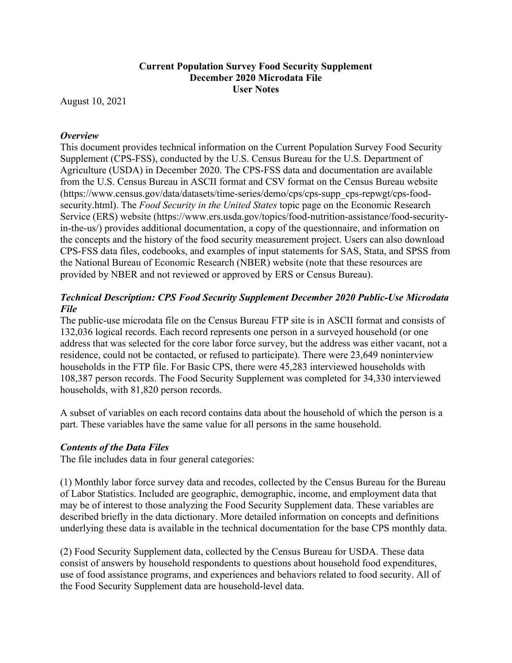## **Current Population Survey Food Security Supplement December 2020 Microdata File User Notes**

August 10, 2021

## *Overview*

This document provides technical information on the Current Population Survey Food Security Supplement (CPS-FSS), conducted by the U.S. Census Bureau for the U.S. Department of Agriculture (USDA) in December 2020. The CPS-FSS data and documentation are available from the U.S. Census Bureau in ASCII format and CSV format on the Census Bureau website (https://www.census.gov/data/datasets/time-series/demo/cps/cps-supp\_cps-repwgt/cps-foodsecurity.html). The *Food Security in the United States* topic page on the Economic Research Service (ERS) website (https://www.ers.usda.gov/topics/food-nutrition-assistance/food-securityin-the-us/) provides additional documentation, a copy of the questionnaire, and information on the concepts and the history of the food security measurement project. Users can also download CPS-FSS data files, codebooks, and examples of input statements for SAS, Stata, and SPSS from the National Bureau of Economic Research (NBER) website (note that these resources are provided by NBER and not reviewed or approved by ERS or Census Bureau).

# *Technical Description: CPS Food Security Supplement December 2020 Public-Use Microdata File*

The public-use microdata file on the Census Bureau FTP site is in ASCII format and consists of 132,036 logical records. Each record represents one person in a surveyed household (or one address that was selected for the core labor force survey, but the address was either vacant, not a residence, could not be contacted, or refused to participate). There were 23,649 noninterview households in the FTP file. For Basic CPS, there were 45,283 interviewed households with 108,387 person records. The Food Security Supplement was completed for 34,330 interviewed households, with 81,820 person records.

A subset of variables on each record contains data about the household of which the person is a part. These variables have the same value for all persons in the same household.

### *Contents of the Data Files*

The file includes data in four general categories:

(1) Monthly labor force survey data and recodes, collected by the Census Bureau for the Bureau of Labor Statistics. Included are geographic, demographic, income, and employment data that may be of interest to those analyzing the Food Security Supplement data. These variables are described briefly in the data dictionary. More detailed information on concepts and definitions underlying these data is available in the technical documentation for the base CPS monthly data.

(2) Food Security Supplement data, collected by the Census Bureau for USDA. These data consist of answers by household respondents to questions about household food expenditures, use of food assistance programs, and experiences and behaviors related to food security. All of the Food Security Supplement data are household-level data.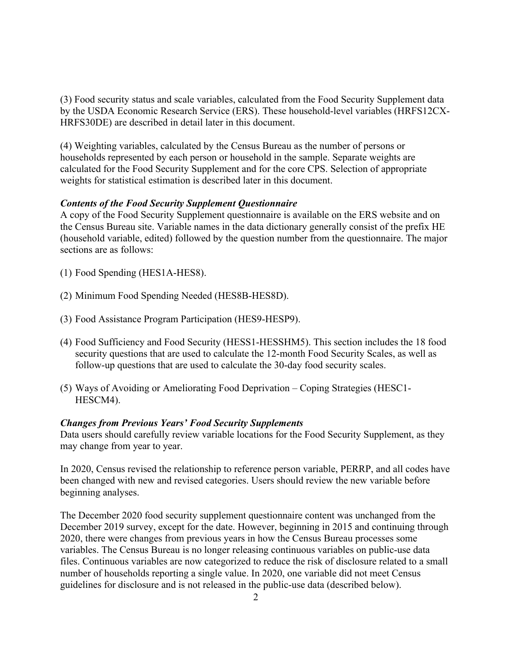(3) Food security status and scale variables, calculated from the Food Security Supplement data by the USDA Economic Research Service (ERS). These household-level variables (HRFS12CX-HRFS30DE) are described in detail later in this document.

(4) Weighting variables, calculated by the Census Bureau as the number of persons or households represented by each person or household in the sample. Separate weights are calculated for the Food Security Supplement and for the core CPS. Selection of appropriate weights for statistical estimation is described later in this document.

### *Contents of the Food Security Supplement Questionnaire*

A copy of the Food Security Supplement questionnaire is available on the ERS website and on the Census Bureau site. Variable names in the data dictionary generally consist of the prefix HE (household variable, edited) followed by the question number from the questionnaire. The major sections are as follows:

- (1) Food Spending (HES1A-HES8).
- (2) Minimum Food Spending Needed (HES8B-HES8D).
- (3) Food Assistance Program Participation (HES9-HESP9).
- (4) Food Sufficiency and Food Security (HESS1-HESSHM5). This section includes the 18 food security questions that are used to calculate the 12-month Food Security Scales, as well as follow-up questions that are used to calculate the 30-day food security scales.
- (5) Ways of Avoiding or Ameliorating Food Deprivation Coping Strategies (HESC1- HESCM4).

#### *Changes from Previous Years' Food Security Supplements*

Data users should carefully review variable locations for the Food Security Supplement, as they may change from year to year.

In 2020, Census revised the relationship to reference person variable, PERRP, and all codes have been changed with new and revised categories. Users should review the new variable before beginning analyses.

The December 2020 food security supplement questionnaire content was unchanged from the December 2019 survey, except for the date. However, beginning in 2015 and continuing through 2020, there were changes from previous years in how the Census Bureau processes some variables. The Census Bureau is no longer releasing continuous variables on public-use data files. Continuous variables are now categorized to reduce the risk of disclosure related to a small number of households reporting a single value. In 2020, one variable did not meet Census guidelines for disclosure and is not released in the public-use data (described below).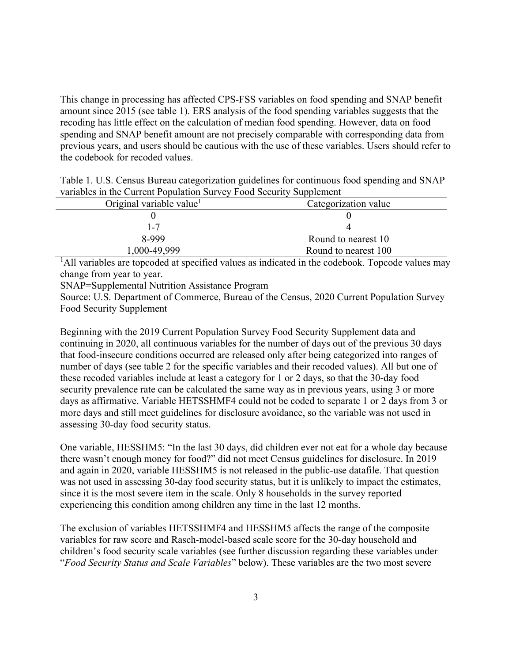This change in processing has affected CPS-FSS variables on food spending and SNAP benefit amount since 2015 (see table 1). ERS analysis of the food spending variables suggests that the recoding has little effect on the calculation of median food spending. However, data on food spending and SNAP benefit amount are not precisely comparable with corresponding data from previous years, and users should be cautious with the use of these variables. Users should refer to the codebook for recoded values.

| Table 1. U.S. Census Bureau categorization guidelines for continuous food spending and SNAP |
|---------------------------------------------------------------------------------------------|
| variables in the Current Population Survey Food Security Supplement                         |

| Original variable value <sup>1</sup> | Categorization value |
|--------------------------------------|----------------------|
|                                      |                      |
| 1-7                                  |                      |
| 8-999                                | Round to nearest 10  |
| 1,000-49,999                         | Round to nearest 100 |

<sup>1</sup>All variables are topcoded at specified values as indicated in the codebook. Topcode values may change from year to year.

SNAP=Supplemental Nutrition Assistance Program

Source: U.S. Department of Commerce, Bureau of the Census, 2020 Current Population Survey Food Security Supplement

Beginning with the 2019 Current Population Survey Food Security Supplement data and continuing in 2020, all continuous variables for the number of days out of the previous 30 days that food-insecure conditions occurred are released only after being categorized into ranges of number of days (see table 2 for the specific variables and their recoded values). All but one of these recoded variables include at least a category for 1 or 2 days, so that the 30-day food security prevalence rate can be calculated the same way as in previous years, using 3 or more days as affirmative. Variable HETSSHMF4 could not be coded to separate 1 or 2 days from 3 or more days and still meet guidelines for disclosure avoidance, so the variable was not used in assessing 30-day food security status.

One variable, HESSHM5: "In the last 30 days, did children ever not eat for a whole day because there wasn't enough money for food?" did not meet Census guidelines for disclosure. In 2019 and again in 2020, variable HESSHM5 is not released in the public-use datafile. That question was not used in assessing 30-day food security status, but it is unlikely to impact the estimates, since it is the most severe item in the scale. Only 8 households in the survey reported experiencing this condition among children any time in the last 12 months.

The exclusion of variables HETSSHMF4 and HESSHM5 affects the range of the composite variables for raw score and Rasch-model-based scale score for the 30-day household and children's food security scale variables (see further discussion regarding these variables under "*Food Security Status and Scale Variables*" below). These variables are the two most severe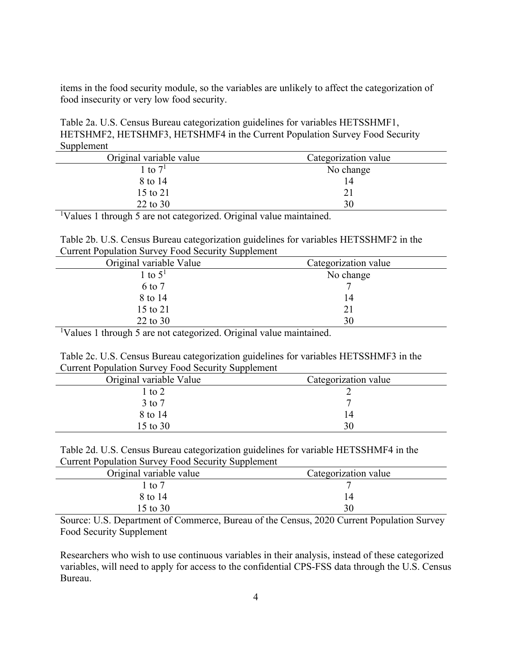items in the food security module, so the variables are unlikely to affect the categorization of food insecurity or very low food security.

Table 2a. U.S. Census Bureau categorization guidelines for variables HETSSHMF1, HETSHMF2, HETSHMF3, HETSHMF4 in the Current Population Survey Food Security Supplement

| Original variable value | Categorization value |
|-------------------------|----------------------|
| l to $7^1$              | No change            |
| 8 to 14                 | 14                   |
| 15 to 21                |                      |
| 22 to 30                | 30                   |

<sup>1</sup>Values 1 through 5 are not categorized. Original value maintained.

Table 2b. U.S. Census Bureau categorization guidelines for variables HETSSHMF2 in the Current Population Survey Food Security Supplement

| Original variable Value | Categorization value |
|-------------------------|----------------------|
| 1 to $51$               | No change            |
| 6 to 7                  |                      |
| 8 to 14                 | 14                   |
| 15 to 21                | 21                   |
| 22 to 30                | 30                   |

<sup>1</sup>Values 1 through 5 are not categorized. Original value maintained.

|  |                                                           |  | Table 2c. U.S. Census Bureau categorization guidelines for variables HETSSHMF3 in the |  |
|--|-----------------------------------------------------------|--|---------------------------------------------------------------------------------------|--|
|  | <b>Current Population Survey Food Security Supplement</b> |  |                                                                                       |  |

| Original variable Value | Categorization value |
|-------------------------|----------------------|
| l to 2                  |                      |
| $3$ to $7$              |                      |
| 8 to 14                 | 14                   |
| 15 to 30                | 30                   |

|                                                           | Table 2d. U.S. Census Bureau categorization guidelines for variable HETSSHMF4 in the |
|-----------------------------------------------------------|--------------------------------------------------------------------------------------|
| <b>Current Population Survey Food Security Supplement</b> |                                                                                      |

| Original variable value | Categorization value |
|-------------------------|----------------------|
| $\lrcorner$ to 7        |                      |
| 8 to 14                 | . 4                  |
| 15 to 30                | 30                   |

Source: U.S. Department of Commerce, Bureau of the Census, 2020 Current Population Survey Food Security Supplement

Researchers who wish to use continuous variables in their analysis, instead of these categorized variables, will need to apply for access to the confidential CPS-FSS data through the U.S. Census Bureau.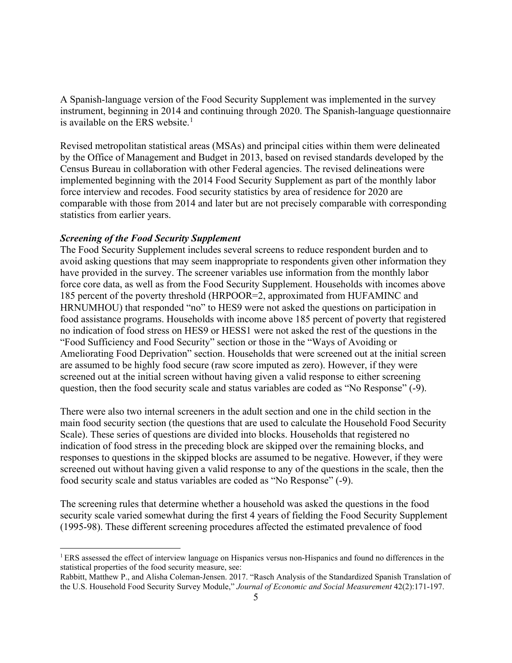A Spanish-language version of the Food Security Supplement was implemented in the survey instrument, beginning in 2014 and continuing through 2020. The Spanish-language questionnaire is available on the ERS website. [1](#page-4-0)

Revised metropolitan statistical areas (MSAs) and principal cities within them were delineated by the Office of Management and Budget in 2013, based on revised standards developed by the Census Bureau in collaboration with other Federal agencies. The revised delineations were implemented beginning with the 2014 Food Security Supplement as part of the monthly labor force interview and recodes. Food security statistics by area of residence for 2020 are comparable with those from 2014 and later but are not precisely comparable with corresponding statistics from earlier years.

#### *Screening of the Food Security Supplement*

The Food Security Supplement includes several screens to reduce respondent burden and to avoid asking questions that may seem inappropriate to respondents given other information they have provided in the survey. The screener variables use information from the monthly labor force core data, as well as from the Food Security Supplement. Households with incomes above 185 percent of the poverty threshold (HRPOOR=2, approximated from HUFAMINC and HRNUMHOU) that responded "no" to HES9 were not asked the questions on participation in food assistance programs. Households with income above 185 percent of poverty that registered no indication of food stress on HES9 or HESS1 were not asked the rest of the questions in the "Food Sufficiency and Food Security" section or those in the "Ways of Avoiding or Ameliorating Food Deprivation" section. Households that were screened out at the initial screen are assumed to be highly food secure (raw score imputed as zero). However, if they were screened out at the initial screen without having given a valid response to either screening question, then the food security scale and status variables are coded as "No Response" (-9).

There were also two internal screeners in the adult section and one in the child section in the main food security section (the questions that are used to calculate the Household Food Security Scale). These series of questions are divided into blocks. Households that registered no indication of food stress in the preceding block are skipped over the remaining blocks, and responses to questions in the skipped blocks are assumed to be negative. However, if they were screened out without having given a valid response to any of the questions in the scale, then the food security scale and status variables are coded as "No Response" (-9).

The screening rules that determine whether a household was asked the questions in the food security scale varied somewhat during the first 4 years of fielding the Food Security Supplement (1995-98). These different screening procedures affected the estimated prevalence of food

<span id="page-4-0"></span><sup>1</sup> ERS assessed the effect of interview language on Hispanics versus non-Hispanics and found no differences in the statistical properties of the food security measure, see:

Rabbitt, Matthew P., and Alisha Coleman-Jensen. 2017. "Rasch Analysis of the Standardized Spanish Translation of the U.S. Household Food Security Survey Module," *Journal of Economic and Social Measurement* 42(2):171-197.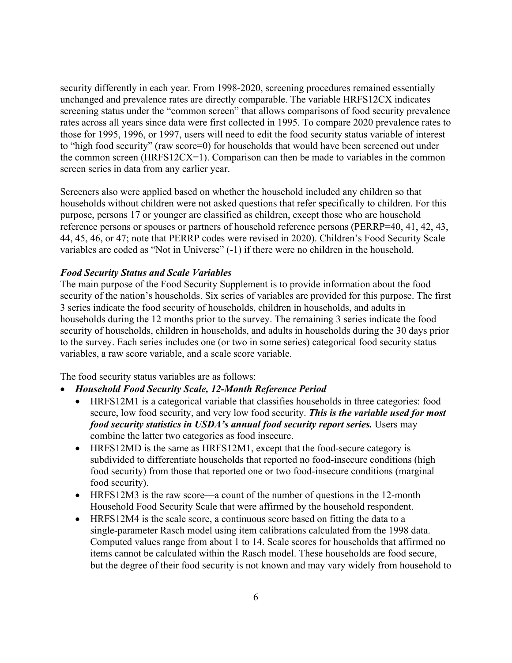security differently in each year. From 1998-2020, screening procedures remained essentially unchanged and prevalence rates are directly comparable. The variable HRFS12CX indicates screening status under the "common screen" that allows comparisons of food security prevalence rates across all years since data were first collected in 1995. To compare 2020 prevalence rates to those for 1995, 1996, or 1997, users will need to edit the food security status variable of interest to "high food security" (raw score=0) for households that would have been screened out under the common screen (HRFS12CX=1). Comparison can then be made to variables in the common screen series in data from any earlier year.

Screeners also were applied based on whether the household included any children so that households without children were not asked questions that refer specifically to children. For this purpose, persons 17 or younger are classified as children, except those who are household reference persons or spouses or partners of household reference persons (PERRP=40, 41, 42, 43, 44, 45, 46, or 47; note that PERRP codes were revised in 2020). Children's Food Security Scale variables are coded as "Not in Universe" (-1) if there were no children in the household.

#### *Food Security Status and Scale Variables*

The main purpose of the Food Security Supplement is to provide information about the food security of the nation's households. Six series of variables are provided for this purpose. The first 3 series indicate the food security of households, children in households, and adults in households during the 12 months prior to the survey. The remaining 3 series indicate the food security of households, children in households, and adults in households during the 30 days prior to the survey. Each series includes one (or two in some series) categorical food security status variables, a raw score variable, and a scale score variable.

The food security status variables are as follows:

- *Household Food Security Scale, 12-Month Reference Period*
	- HRFS12M1 is a categorical variable that classifies households in three categories: food secure, low food security, and very low food security. *This is the variable used for most food security statistics in USDA's annual food security report series.* Users may combine the latter two categories as food insecure.
	- HRFS12MD is the same as HRFS12M1, except that the food-secure category is subdivided to differentiate households that reported no food-insecure conditions (high food security) from those that reported one or two food-insecure conditions (marginal food security).
	- HRFS12M3 is the raw score—a count of the number of questions in the 12-month Household Food Security Scale that were affirmed by the household respondent.
	- HRFS12M4 is the scale score, a continuous score based on fitting the data to a single-parameter Rasch model using item calibrations calculated from the 1998 data. Computed values range from about 1 to 14. Scale scores for households that affirmed no items cannot be calculated within the Rasch model. These households are food secure, but the degree of their food security is not known and may vary widely from household to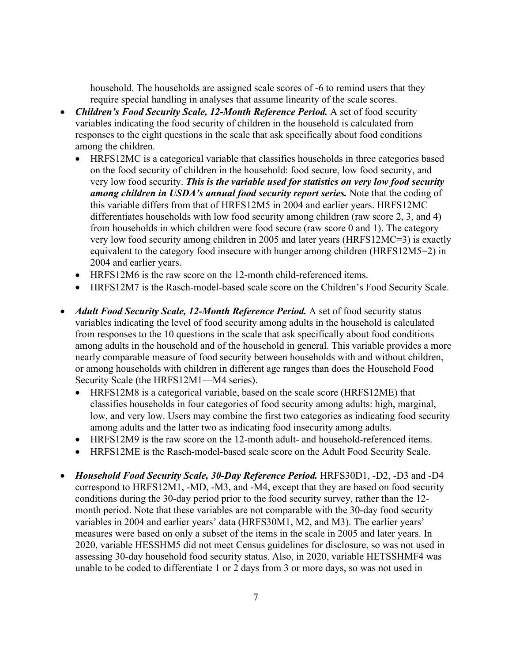household. The households are assigned scale scores of -6 to remind users that they require special handling in analyses that assume linearity of the scale scores.

- *Children's Food Security Scale, 12-Month Reference Period.* A set of food security variables indicating the food security of children in the household is calculated from responses to the eight questions in the scale that ask specifically about food conditions among the children.
	- HRFS12MC is a categorical variable that classifies households in three categories based on the food security of children in the household: food secure, low food security, and very low food security. *This is the variable used for statistics on very low food security among children in USDA's annual food security report series.* Note that the coding of this variable differs from that of HRFS12M5 in 2004 and earlier years. HRFS12MC differentiates households with low food security among children (raw score 2, 3, and 4) from households in which children were food secure (raw score 0 and 1). The category very low food security among children in 2005 and later years (HRFS12MC=3) is exactly equivalent to the category food insecure with hunger among children (HRFS12M5=2) in 2004 and earlier years.
	- HRFS12M6 is the raw score on the 12-month child-referenced items.
	- HRFS12M7 is the Rasch-model-based scale score on the Children's Food Security Scale.
- *Adult Food Security Scale, 12-Month Reference Period.* A set of food security status variables indicating the level of food security among adults in the household is calculated from responses to the 10 questions in the scale that ask specifically about food conditions among adults in the household and of the household in general. This variable provides a more nearly comparable measure of food security between households with and without children, or among households with children in different age ranges than does the Household Food Security Scale (the HRFS12M1—M4 series).
	- HRFS12M8 is a categorical variable, based on the scale score (HRFS12ME) that classifies households in four categories of food security among adults: high, marginal, low, and very low. Users may combine the first two categories as indicating food security among adults and the latter two as indicating food insecurity among adults.
	- HRFS12M9 is the raw score on the 12-month adult- and household-referenced items.
	- HRFS12ME is the Rasch-model-based scale score on the Adult Food Security Scale.
- *Household Food Security Scale, 30-Day Reference Period.* HRFS30D1, -D2, -D3 and -D4 correspond to HRFS12M1, -MD, -M3, and -M4, except that they are based on food security conditions during the 30-day period prior to the food security survey, rather than the 12 month period. Note that these variables are not comparable with the 30-day food security variables in 2004 and earlier years' data (HRFS30M1, M2, and M3). The earlier years' measures were based on only a subset of the items in the scale in 2005 and later years. In 2020, variable HESSHM5 did not meet Census guidelines for disclosure, so was not used in assessing 30-day household food security status. Also, in 2020, variable HETSSHMF4 was unable to be coded to differentiate 1 or 2 days from 3 or more days, so was not used in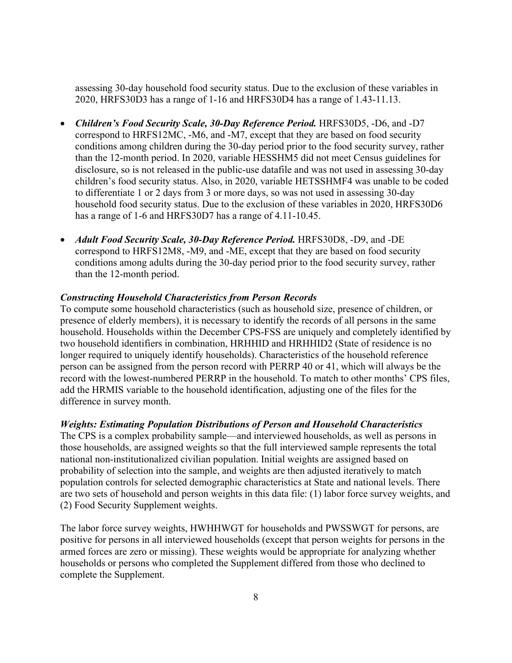assessing 30-day household food security status. Due to the exclusion of these variables in 2020, HRFS30D3 has a range of 1-16 and HRFS30D4 has a range of 1.43-11.13.

- *Children's Food Security Scale, 30-Day Reference Period.* HRFS30D5, -D6, and -D7 correspond to HRFS12MC, -M6, and -M7, except that they are based on food security conditions among children during the 30-day period prior to the food security survey, rather than the 12-month period. In 2020, variable HESSHM5 did not meet Census guidelines for disclosure, so is not released in the public-use datafile and was not used in assessing 30-day children's food security status. Also, in 2020, variable HETSSHMF4 was unable to be coded to differentiate 1 or 2 days from 3 or more days, so was not used in assessing 30-day household food security status. Due to the exclusion of these variables in 2020, HRFS30D6 has a range of 1-6 and HRFS30D7 has a range of 4.11-10.45.
- *Adult Food Security Scale, 30-Day Reference Period.* HRFS30D8, -D9, and -DE correspond to HRFS12M8, -M9, and -ME, except that they are based on food security conditions among adults during the 30-day period prior to the food security survey, rather than the 12-month period.

#### *Constructing Household Characteristics from Person Records*

To compute some household characteristics (such as household size, presence of children, or presence of elderly members), it is necessary to identify the records of all persons in the same household. Households within the December CPS-FSS are uniquely and completely identified by two household identifiers in combination, HRHHID and HRHHID2 (State of residence is no longer required to uniquely identify households). Characteristics of the household reference person can be assigned from the person record with PERRP 40 or 41, which will always be the record with the lowest-numbered PERRP in the household. To match to other months' CPS files, add the HRMIS variable to the household identification, adjusting one of the files for the difference in survey month.

#### *Weights: Estimating Population Distributions of Person and Household Characteristics*

The CPS is a complex probability sample—and interviewed households, as well as persons in those households, are assigned weights so that the full interviewed sample represents the total national non-institutionalized civilian population. Initial weights are assigned based on probability of selection into the sample, and weights are then adjusted iteratively to match population controls for selected demographic characteristics at State and national levels. There are two sets of household and person weights in this data file: (1) labor force survey weights, and (2) Food Security Supplement weights.

The labor force survey weights, HWHHWGT for households and PWSSWGT for persons, are positive for persons in all interviewed households (except that person weights for persons in the armed forces are zero or missing). These weights would be appropriate for analyzing whether households or persons who completed the Supplement differed from those who declined to complete the Supplement.